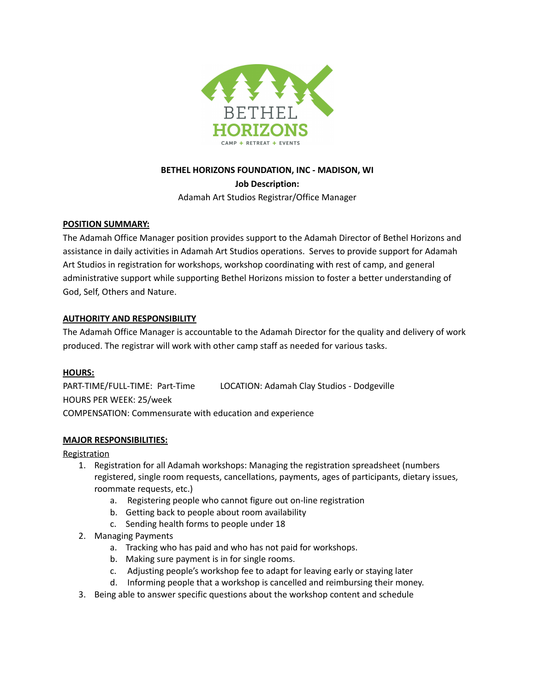

# **BETHEL HORIZONS FOUNDATION, INC - MADISON, WI Job Description:** Adamah Art Studios Registrar/Office Manager

### **POSITION SUMMARY:**

The Adamah Office Manager position provides support to the Adamah Director of Bethel Horizons and assistance in daily activities in Adamah Art Studios operations. Serves to provide support for Adamah Art Studios in registration for workshops, workshop coordinating with rest of camp, and general administrative support while supporting Bethel Horizons mission to foster a better understanding of God, Self, Others and Nature.

### **AUTHORITY AND RESPONSIBILITY**

The Adamah Office Manager is accountable to the Adamah Director for the quality and delivery of work produced. The registrar will work with other camp staff as needed for various tasks.

#### **HOURS:**

PART-TIME/FULL-TIME: Part-Time LOCATION: Adamah Clay Studios - Dodgeville HOURS PER WEEK: 25/week COMPENSATION: Commensurate with education and experience

#### **MAJOR RESPONSIBILITIES:**

#### **Registration**

- 1. Registration for all Adamah workshops: Managing the registration spreadsheet (numbers registered, single room requests, cancellations, payments, ages of participants, dietary issues, roommate requests, etc.)
	- a. Registering people who cannot figure out on-line registration
	- b. Getting back to people about room availability
	- c. Sending health forms to people under 18
- 2. Managing Payments
	- a. Tracking who has paid and who has not paid for workshops.
	- b. Making sure payment is in for single rooms.
	- c. Adjusting people's workshop fee to adapt for leaving early or staying later
	- d. Informing people that a workshop is cancelled and reimbursing their money.
- 3. Being able to answer specific questions about the workshop content and schedule